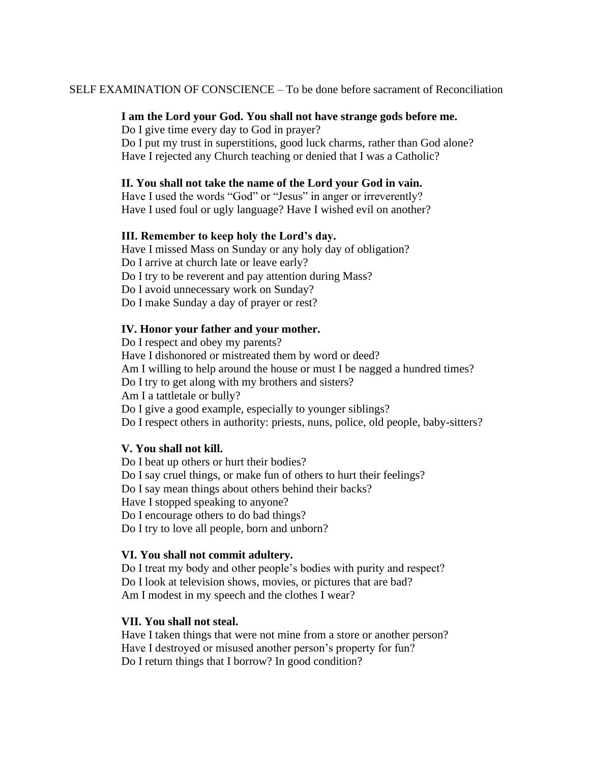SELF EXAMINATION OF CONSCIENCE – To be done before sacrament of Reconciliation

## **I am the Lord your God. You shall not have strange gods before me.**

Do I give time every day to God in prayer? Do I put my trust in superstitions, good luck charms, rather than God alone? Have I rejected any Church teaching or denied that I was a Catholic?

# **II. You shall not take the name of the Lord your God in vain.**

Have I used the words "God" or "Jesus" in anger or irreverently? Have I used foul or ugly language? Have I wished evil on another?

## **III. Remember to keep holy the Lord's day.**

Have I missed Mass on Sunday or any holy day of obligation? Do I arrive at church late or leave early? Do I try to be reverent and pay attention during Mass? Do I avoid unnecessary work on Sunday? Do I make Sunday a day of prayer or rest?

## **IV. Honor your father and your mother.**

Do I respect and obey my parents? Have I dishonored or mistreated them by word or deed? Am I willing to help around the house or must I be nagged a hundred times? Do I try to get along with my brothers and sisters? Am I a tattletale or bully? Do I give a good example, especially to younger siblings? Do I respect others in authority: priests, nuns, police, old people, baby-sitters?

## **V. You shall not kill.**

Do I beat up others or hurt their bodies? Do I say cruel things, or make fun of others to hurt their feelings? Do I say mean things about others behind their backs? Have I stopped speaking to anyone? Do I encourage others to do bad things? Do I try to love all people, born and unborn?

## **VI. You shall not commit adultery.**

Do I treat my body and other people's bodies with purity and respect? Do I look at television shows, movies, or pictures that are bad? Am I modest in my speech and the clothes I wear?

## **VII. You shall not steal.**

Have I taken things that were not mine from a store or another person? Have I destroyed or misused another person's property for fun? Do I return things that I borrow? In good condition?